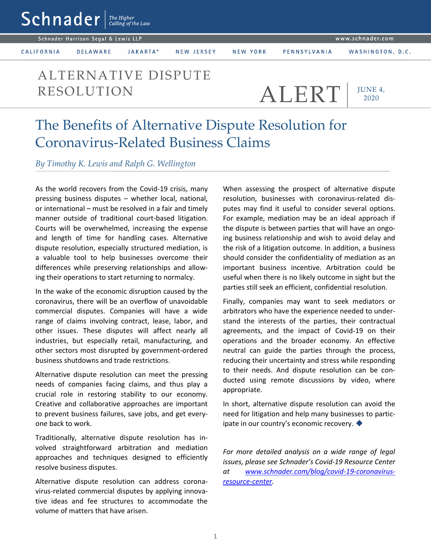$\mathsf{Sch}$ nader  $\vert$ <sup>The Higher</sup>

Schnader Harrison Segal & Lewis LLP

CALIFORNIA

**DELAWARE** JAKARTA\* NEW JERSEY

WASHINGTON, D.C.

## ALTERNATIVE DISPUTE RESOLUTION ALERT

PENNSYLVANIA

JUNE 4, 2020

## The Benefits of Alternative Dispute Resolution for Coronavirus-Related Business Claims

## *By Timothy K. Lewis and Ralph G. Wellington*

As the world recovers from the Covid-19 crisis, many pressing business disputes – whether local, national, or international – must be resolved in a fair and timely manner outside of traditional court-based litigation. Courts will be overwhelmed, increasing the expense and length of time for handling cases. Alternative dispute resolution, especially structured mediation, is a valuable tool to help businesses overcome their differences while preserving relationships and allowing their operations to start returning to normalcy.

In the wake of the economic disruption caused by the coronavirus, there will be an overflow of unavoidable commercial disputes. Companies will have a wide range of claims involving contract, lease, labor, and other issues. These disputes will affect nearly all industries, but especially retail, manufacturing, and other sectors most disrupted by government-ordered business shutdowns and trade restrictions.

Alternative dispute resolution can meet the pressing needs of companies facing claims, and thus play a crucial role in restoring stability to our economy. Creative and collaborative approaches are important to prevent business failures, save jobs, and get everyone back to work.

Traditionally, alternative dispute resolution has involved straightforward arbitration and mediation approaches and techniques designed to efficiently resolve business disputes.

Alternative dispute resolution can address coronavirus-related commercial disputes by applying innovative ideas and fee structures to accommodate the volume of matters that have arisen.

When assessing the prospect of alternative dispute resolution, businesses with coronavirus-related disputes may find it useful to consider several options. For example, mediation may be an ideal approach if the dispute is between parties that will have an ongoing business relationship and wish to avoid delay and the risk of a litigation outcome. In addition, a business should consider the confidentiality of mediation as an important business incentive. Arbitration could be useful when there is no likely outcome in sight but the parties still seek an efficient, confidential resolution.

Finally, companies may want to seek mediators or arbitrators who have the experience needed to understand the interests of the parties, their contractual agreements, and the impact of Covid-19 on their operations and the broader economy. An effective neutral can guide the parties through the process, reducing their uncertainty and stress while responding to their needs. And dispute resolution can be conducted using remote discussions by video, where appropriate.

In short, alternative dispute resolution can avoid the need for litigation and help many businesses to participate in our country's economic recovery.

*For more detailed analysis on a wide range of legal issues, please see Schnader's Covid-19 Resource Center at [www.schnader.com/blog/covid-19-coronavirus](http://www.schnader.com/blog/covid-19-coronavirus-resource-center)[resource-center.](http://www.schnader.com/blog/covid-19-coronavirus-resource-center)*